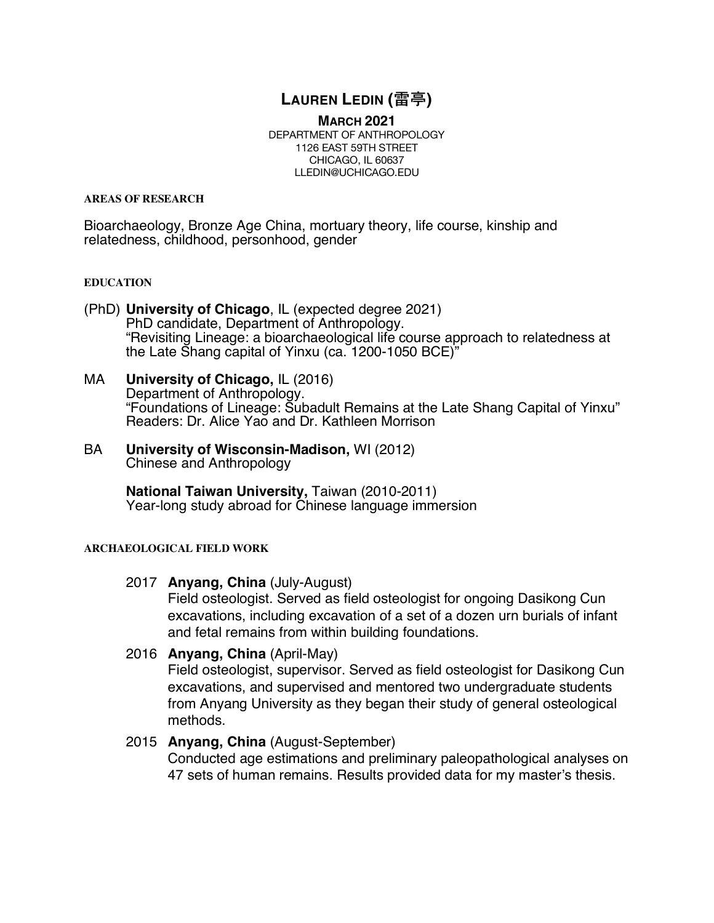# **LAUREN LEDIN (**雷亭**)**

**MARCH 2021** DEPARTMENT OF ANTHROPOLOGY 1126 EAST 59TH STREET CHICAGO, IL 60637 LLEDIN@UCHICAGO.EDU

#### **AREAS OF RESEARCH**

Bioarchaeology, Bronze Age China, mortuary theory, life course, kinship and relatedness, childhood, personhood, gender

### **EDUCATION**

- (PhD) **University of Chicago**, IL (expected degree 2021) PhD candidate, Department of Anthropology. "Revisiting Lineage: a bioarchaeological life course approach to relatedness at the Late Shang capital of Yinxu (ca. 1200-1050 BCE)"
- MA **University of Chicago,** IL (2016) Department of Anthropology. "Foundations of Lineage: Subadult Remains at the Late Shang Capital of Yinxu" Readers: Dr. Alice Yao and Dr. Kathleen Morrison
- BA **University of Wisconsin-Madison,** WI (2012) Chinese and Anthropology

**National Taiwan University,** Taiwan (2010-2011) Year-long study abroad for Chinese language immersion

### **ARCHAEOLOGICAL FIELD WORK**

2017 **Anyang, China** (July-August)

Field osteologist. Served as field osteologist for ongoing Dasikong Cun excavations, including excavation of a set of a dozen urn burials of infant and fetal remains from within building foundations.

2016 **Anyang, China** (April-May)

Field osteologist, supervisor. Served as field osteologist for Dasikong Cun excavations, and supervised and mentored two undergraduate students from Anyang University as they began their study of general osteological methods.

# 2015 **Anyang, China** (August-September)

Conducted age estimations and preliminary paleopathological analyses on 47 sets of human remains. Results provided data for my master's thesis.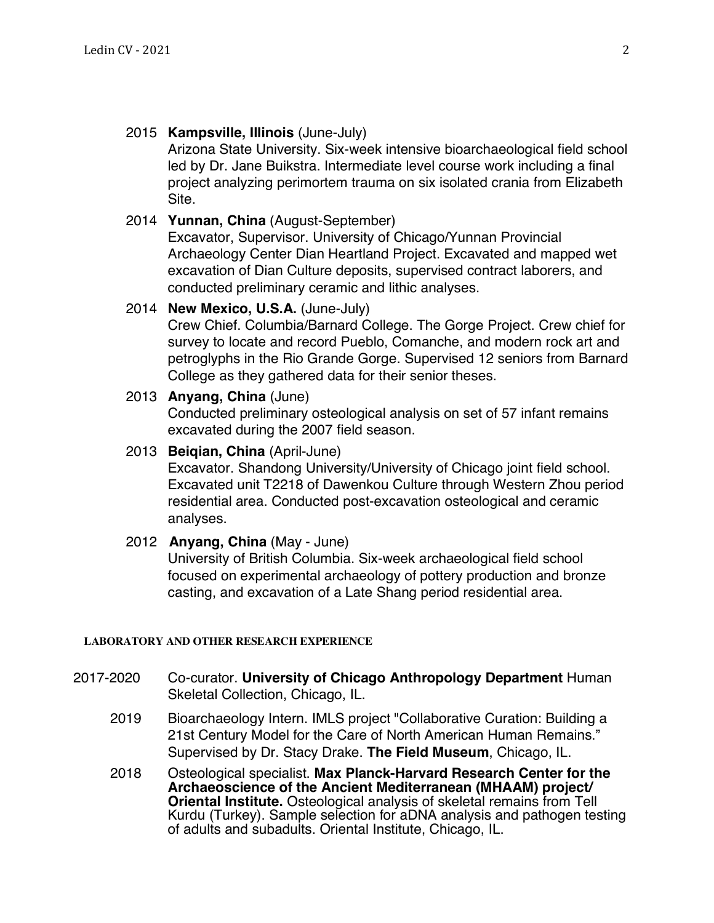# 2015 **Kampsville, Illinois** (June-July)

Arizona State University. Six-week intensive bioarchaeological field school led by Dr. Jane Buikstra. Intermediate level course work including a final project analyzing perimortem trauma on six isolated crania from Elizabeth Site.

# 2014 **Yunnan, China** (August-September)

Excavator, Supervisor. University of Chicago/Yunnan Provincial Archaeology Center Dian Heartland Project. Excavated and mapped wet excavation of Dian Culture deposits, supervised contract laborers, and conducted preliminary ceramic and lithic analyses.

# 2014 **New Mexico, U.S.A.** (June-July)

Crew Chief. Columbia/Barnard College. The Gorge Project. Crew chief for survey to locate and record Pueblo, Comanche, and modern rock art and petroglyphs in the Rio Grande Gorge. Supervised 12 seniors from Barnard College as they gathered data for their senior theses.

# 2013 **Anyang, China** (June)

Conducted preliminary osteological analysis on set of 57 infant remains excavated during the 2007 field season.

# 2013 **Beiqian, China** (April-June)

Excavator. Shandong University/University of Chicago joint field school. Excavated unit T2218 of Dawenkou Culture through Western Zhou period residential area. Conducted post-excavation osteological and ceramic analyses.

# 2012 **Anyang, China** (May - June)

University of British Columbia. Six-week archaeological field school focused on experimental archaeology of pottery production and bronze casting, and excavation of a Late Shang period residential area.

# **LABORATORY AND OTHER RESEARCH EXPERIENCE**

- 2017-2020 Co-curator. **University of Chicago Anthropology Department** Human Skeletal Collection, Chicago, IL.
	- 2019 Bioarchaeology Intern. IMLS project "Collaborative Curation: Building a 21st Century Model for the Care of North American Human Remains." Supervised by Dr. Stacy Drake. **The Field Museum**, Chicago, IL.
	- 2018 Osteological specialist. **Max Planck-Harvard Research Center for the Archaeoscience of the Ancient Mediterranean (MHAAM) project/ Oriental Institute.** Osteological analysis of skeletal remains from Tell Kurdu (Turkey). Sample selection for aDNA analysis and pathogen testing of adults and subadults. Oriental Institute, Chicago, IL.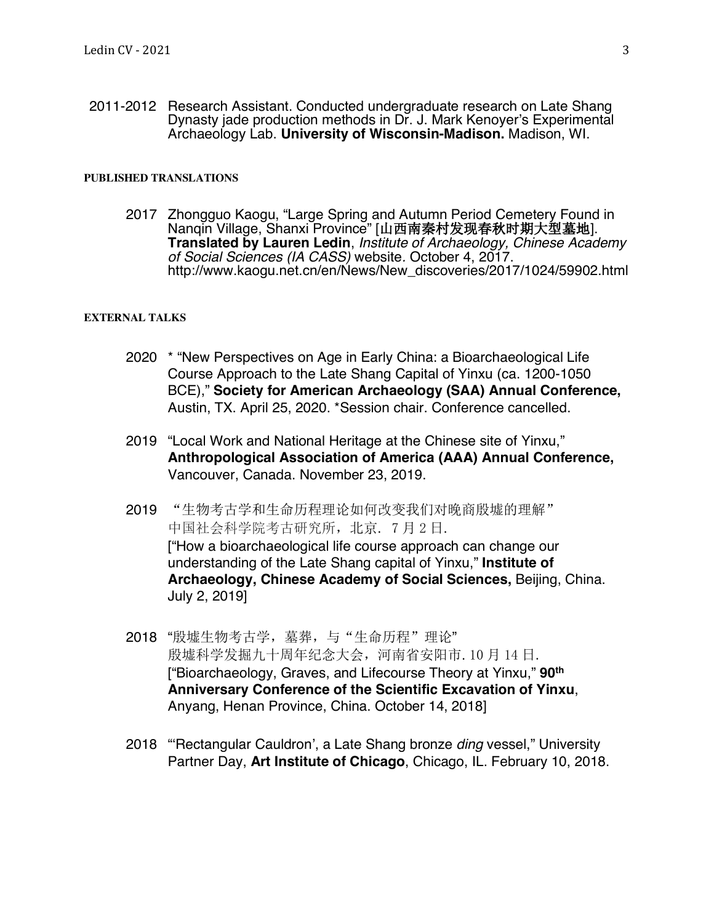2011-2012 Research Assistant. Conducted undergraduate research on Late Shang Dynasty jade production methods in Dr. J. Mark Kenoyer's Experimental Archaeology Lab. **University of Wisconsin-Madison.** Madison, WI.

#### **PUBLISHED TRANSLATIONS**

2017 Zhongguo Kaogu, "Large Spring and Autumn Period Cemetery Found in Nanqin Village, Shanxi Province" [山西南秦村发现春秋时期大型墓地]. **Translated by Lauren Ledin**, *Institute of Archaeology, Chinese Academy of Social Sciences (IA CASS)* website*.* October 4, 2017. http://www.kaogu.net.cn/en/News/New\_discoveries/2017/1024/59902.html

#### **EXTERNAL TALKS**

- 2020 \* "New Perspectives on Age in Early China: a Bioarchaeological Life Course Approach to the Late Shang Capital of Yinxu (ca. 1200-1050 BCE)," **Society for American Archaeology (SAA) Annual Conference,**  Austin, TX. April 25, 2020. \*Session chair. Conference cancelled.
- 2019 "Local Work and National Heritage at the Chinese site of Yinxu," **Anthropological Association of America (AAA) Annual Conference,**  Vancouver, Canada. November 23, 2019.
- 2019 "生物考古学和生命历程理论如何改变我们对晚商殷墟的理解" 中国社会科学院考古研究所,北京. 7 月 2 日. ["How a bioarchaeological life course approach can change our understanding of the Late Shang capital of Yinxu," **Institute of Archaeology, Chinese Academy of Social Sciences,** Beijing, China. July 2, 2019]
- 2018 "殷墟生物考古学,墓葬,与"生命历程"理论" 殷墟科学发掘九十周年纪念大会,河南省安阳市. 10 月 14 日. ["Bioarchaeology, Graves, and Lifecourse Theory at Yinxu," **90th Anniversary Conference of the Scientific Excavation of Yinxu**, Anyang, Henan Province, China. October 14, 2018]
- 2018 "'Rectangular Cauldron', a Late Shang bronze *ding* vessel," University Partner Day, **Art Institute of Chicago**, Chicago, IL. February 10, 2018.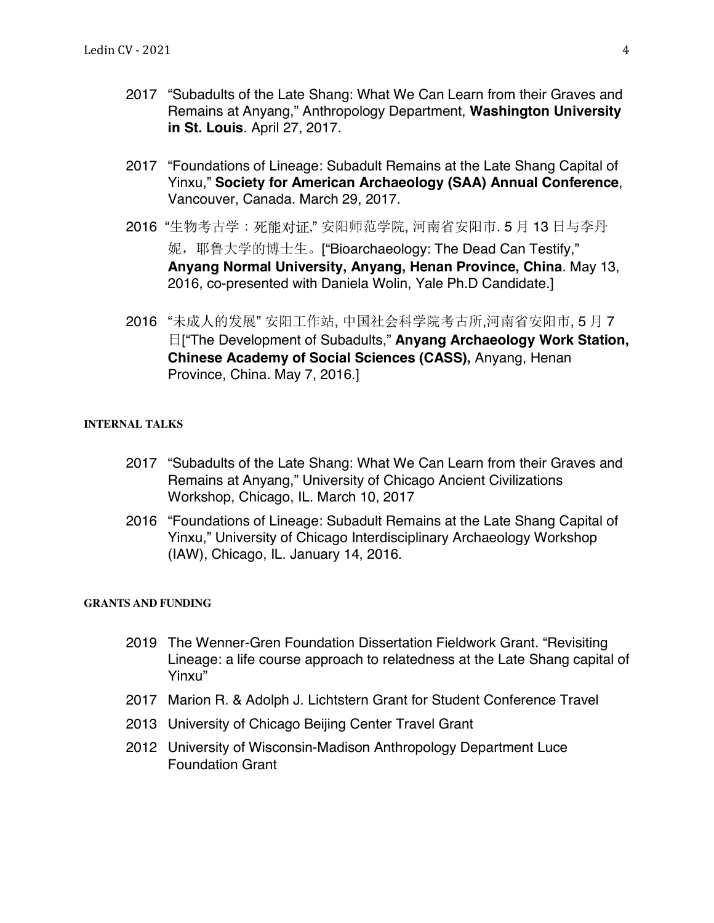- 2017 "Subadults of the Late Shang: What We Can Learn from their Graves and Remains at Anyang," Anthropology Department, **Washington University in St. Louis**. April 27, 2017.
- 2017 "Foundations of Lineage: Subadult Remains at the Late Shang Capital of Yinxu," **Society for American Archaeology (SAA) Annual Conference**, Vancouver, Canada. March 29, 2017.
- 2016 "生物考古学:死能对证," 安阳师范学院, 河南省安阳市. 5 月 13 日与李丹 妮,耶鲁大学的博士生。["Bioarchaeology: The Dead Can Testify," **Anyang Normal University, Anyang, Henan Province, China**. May 13, 2016, co-presented with Daniela Wolin, Yale Ph.D Candidate.]
- 2016 "未成人的发展" 安阳工作站, 中国社会科学院考古所,河南省安阳市, 5 月 7 日["The Development of Subadults," **Anyang Archaeology Work Station, Chinese Academy of Social Sciences (CASS),** Anyang, Henan Province, China. May 7, 2016.]

# **INTERNAL TALKS**

- 2017 "Subadults of the Late Shang: What We Can Learn from their Graves and Remains at Anyang," University of Chicago Ancient Civilizations Workshop, Chicago, IL. March 10, 2017
- 2016 "Foundations of Lineage: Subadult Remains at the Late Shang Capital of Yinxu," University of Chicago Interdisciplinary Archaeology Workshop (IAW), Chicago, IL. January 14, 2016.

### **GRANTS AND FUNDING**

- 2019 The Wenner-Gren Foundation Dissertation Fieldwork Grant. "Revisiting Lineage: a life course approach to relatedness at the Late Shang capital of Yinxu"
- 2017 Marion R. & Adolph J. Lichtstern Grant for Student Conference Travel
- 2013 University of Chicago Beijing Center Travel Grant
- 2012 University of Wisconsin-Madison Anthropology Department Luce Foundation Grant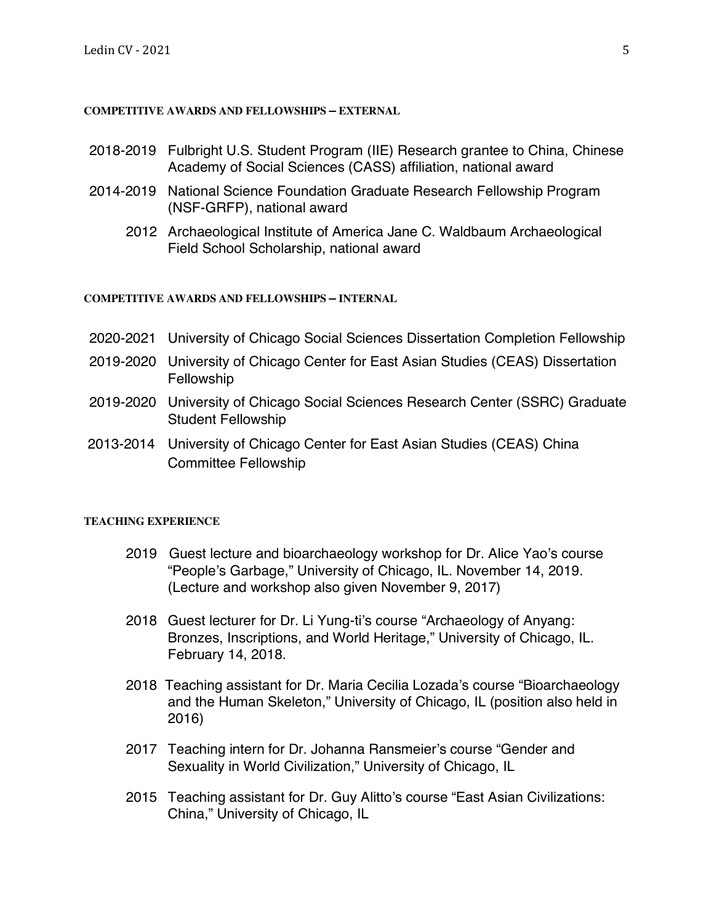### **COMPETITIVE AWARDS AND FELLOWSHIPS – EXTERNAL**

- 2018-2019 Fulbright U.S. Student Program (IIE) Research grantee to China, Chinese Academy of Social Sciences (CASS) affiliation, national award
- 2014-2019 National Science Foundation Graduate Research Fellowship Program (NSF-GRFP), national award
	- 2012 Archaeological Institute of America Jane C. Waldbaum Archaeological Field School Scholarship, national award

### **COMPETITIVE AWARDS AND FELLOWSHIPS – INTERNAL**

- 2020-2021 University of Chicago Social Sciences Dissertation Completion Fellowship
- 2019-2020 University of Chicago Center for East Asian Studies (CEAS) Dissertation Fellowship
- 2019-2020 University of Chicago Social Sciences Research Center (SSRC) Graduate Student Fellowship
- 2013-2014 University of Chicago Center for East Asian Studies (CEAS) China Committee Fellowship

### **TEACHING EXPERIENCE**

- 2019 Guest lecture and bioarchaeology workshop for Dr. Alice Yao's course "People's Garbage," University of Chicago, IL. November 14, 2019. (Lecture and workshop also given November 9, 2017)
- 2018 Guest lecturer for Dr. Li Yung-ti's course "Archaeology of Anyang: Bronzes, Inscriptions, and World Heritage," University of Chicago, IL. February 14, 2018.
- 2018 Teaching assistant for Dr. Maria Cecilia Lozada's course "Bioarchaeology and the Human Skeleton," University of Chicago, IL (position also held in 2016)
- 2017 Teaching intern for Dr. Johanna Ransmeier's course "Gender and Sexuality in World Civilization," University of Chicago, IL
- 2015 Teaching assistant for Dr. Guy Alitto's course "East Asian Civilizations: China," University of Chicago, IL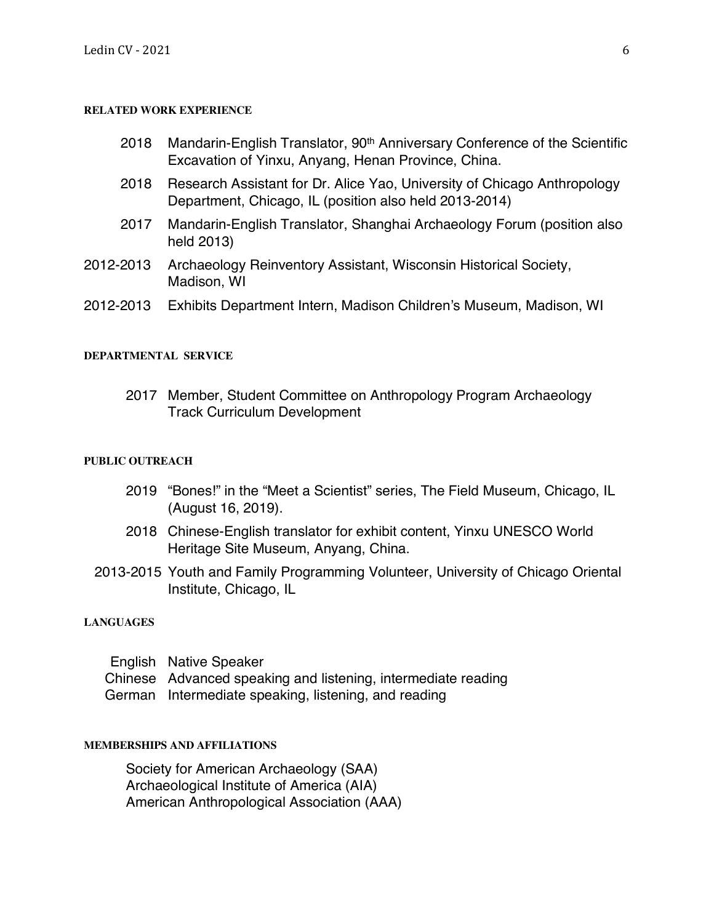#### **RELATED WORK EXPERIENCE**

- 2018 Mandarin-English Translator, 90<sup>th</sup> Anniversary Conference of the Scientific Excavation of Yinxu, Anyang, Henan Province, China.
- 2018 Research Assistant for Dr. Alice Yao, University of Chicago Anthropology Department, Chicago, IL (position also held 2013-2014)
- 2017 Mandarin-English Translator, Shanghai Archaeology Forum (position also held 2013)
- 2012-2013 Archaeology Reinventory Assistant, Wisconsin Historical Society, Madison, WI
- 2012-2013 Exhibits Department Intern, Madison Children's Museum, Madison, WI

#### **DEPARTMENTAL SERVICE**

2017 Member, Student Committee on Anthropology Program Archaeology Track Curriculum Development

### **PUBLIC OUTREACH**

- 2019 "Bones!" in the "Meet a Scientist" series, The Field Museum, Chicago, IL (August 16, 2019).
- 2018 Chinese-English translator for exhibit content, Yinxu UNESCO World Heritage Site Museum, Anyang, China.
- 2013-2015 Youth and Family Programming Volunteer, University of Chicago Oriental Institute, Chicago, IL

#### **LANGUAGES**

| English Native Speaker                                        |
|---------------------------------------------------------------|
| Chinese Advanced speaking and listening, intermediate reading |
| German Intermediate speaking, listening, and reading          |

#### **MEMBERSHIPS AND AFFILIATIONS**

Society for American Archaeology (SAA) Archaeological Institute of America (AIA) American Anthropological Association (AAA)